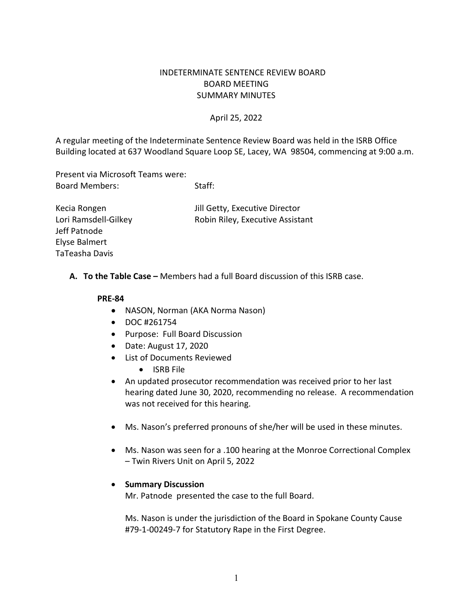# INDETERMINATE SENTENCE REVIEW BOARD BOARD MEETING SUMMARY MINUTES

## April 25, 2022

A regular meeting of the Indeterminate Sentence Review Board was held in the ISRB Office Building located at 637 Woodland Square Loop SE, Lacey, WA 98504, commencing at 9:00 a.m.

Present via Microsoft Teams were: Board Members: Staff:

Jeff Patnode Elyse Balmert TaTeasha Davis

Kecia Rongen Jill Getty, Executive Director Lori Ramsdell-Gilkey Robin Riley, Executive Assistant

**A. To the Table Case –** Members had a full Board discussion of this ISRB case.

#### **PRE-84**

- NASON, Norman (AKA Norma Nason)
- DOC #261754
- Purpose: Full Board Discussion
- Date: August 17, 2020
- List of Documents Reviewed
	- ISRB File
- An updated prosecutor recommendation was received prior to her last hearing dated June 30, 2020, recommending no release. A recommendation was not received for this hearing.
- Ms. Nason's preferred pronouns of she/her will be used in these minutes.
- Ms. Nason was seen for a .100 hearing at the Monroe Correctional Complex – Twin Rivers Unit on April 5, 2022

## • **Summary Discussion**

Mr. Patnode presented the case to the full Board.

Ms. Nason is under the jurisdiction of the Board in Spokane County Cause #79-1-00249-7 for Statutory Rape in the First Degree.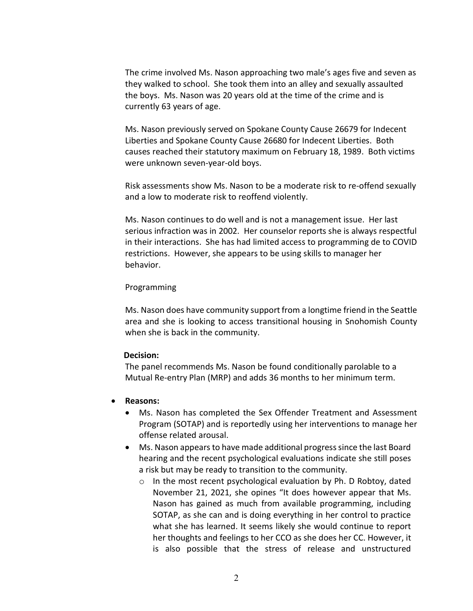The crime involved Ms. Nason approaching two male's ages five and seven as they walked to school. She took them into an alley and sexually assaulted the boys. Ms. Nason was 20 years old at the time of the crime and is currently 63 years of age.

Ms. Nason previously served on Spokane County Cause 26679 for Indecent Liberties and Spokane County Cause 26680 for Indecent Liberties. Both causes reached their statutory maximum on February 18, 1989. Both victims were unknown seven-year-old boys.

Risk assessments show Ms. Nason to be a moderate risk to re-offend sexually and a low to moderate risk to reoffend violently.

Ms. Nason continues to do well and is not a management issue. Her last serious infraction was in 2002. Her counselor reports she is always respectful in their interactions. She has had limited access to programming de to COVID restrictions. However, she appears to be using skills to manager her behavior.

#### Programming

Ms. Nason does have community support from a longtime friend in the Seattle area and she is looking to access transitional housing in Snohomish County when she is back in the community.

#### **Decision:**

The panel recommends Ms. Nason be found conditionally parolable to a Mutual Re-entry Plan (MRP) and adds 36 months to her minimum term.

- **Reasons:**
	- Ms. Nason has completed the Sex Offender Treatment and Assessment Program (SOTAP) and is reportedly using her interventions to manage her offense related arousal.
	- Ms. Nason appears to have made additional progress since the last Board hearing and the recent psychological evaluations indicate she still poses a risk but may be ready to transition to the community.
		- o In the most recent psychological evaluation by Ph. D Robtoy, dated November 21, 2021, she opines "It does however appear that Ms. Nason has gained as much from available programming, including SOTAP, as she can and is doing everything in her control to practice what she has learned. It seems likely she would continue to report her thoughts and feelings to her CCO as she does her CC. However, it is also possible that the stress of release and unstructured